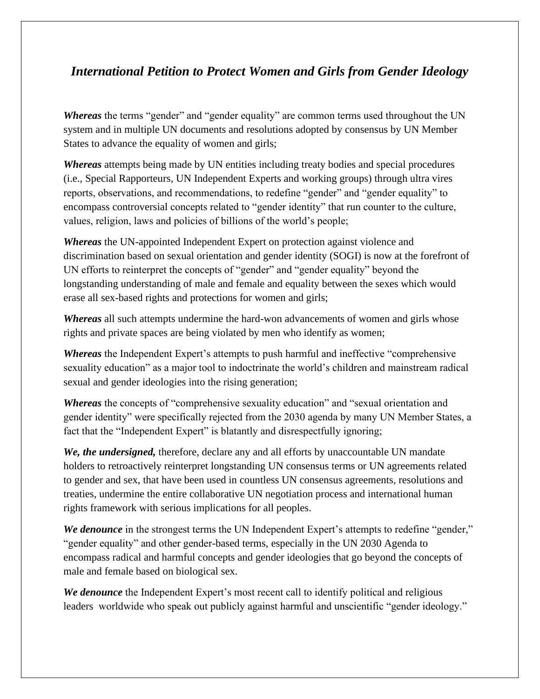## *International Petition to Protect Women and Girls from Gender Ideology*

*Whereas* the terms "gender" and "gender equality" are common terms used throughout the UN system and in multiple UN documents and resolutions adopted by consensus by UN Member States to advance the equality of women and girls;

*Whereas* attempts being made by UN entities including treaty bodies and special procedures (i.e., Special Rapporteurs, UN Independent Experts and working groups) through ultra vires reports, observations, and recommendations, to redefine "gender" and "gender equality" to encompass controversial concepts related to "gender identity" that run counter to the culture, values, religion, laws and policies of billions of the world's people;

*Whereas* the UN-appointed Independent Expert on protection against violence and discrimination based on sexual orientation and gender identity (SOGI) is now at the forefront of UN efforts to reinterpret the concepts of "gender" and "gender equality" beyond the longstanding understanding of male and female and equality between the sexes which would erase all sex-based rights and protections for women and girls;

*Whereas* all such attempts undermine the hard-won advancements of women and girls whose rights and private spaces are being violated by men who identify as women;

*Whereas* the Independent Expert's attempts to push harmful and ineffective "comprehensive sexuality education" as a major tool to indoctrinate the world's children and mainstream radical sexual and gender ideologies into the rising generation;

*Whereas* the concepts of "comprehensive sexuality education" and "sexual orientation and gender identity" were specifically rejected from the 2030 agenda by many UN Member States, a fact that the "Independent Expert" is blatantly and disrespectfully ignoring;

*We, the undersigned,* therefore, declare any and all efforts by unaccountable UN mandate holders to retroactively reinterpret longstanding UN consensus terms or UN agreements related to gender and sex, that have been used in countless UN consensus agreements, resolutions and treaties, undermine the entire collaborative UN negotiation process and international human rights framework with serious implications for all peoples.

*We denounce* in the strongest terms the UN Independent Expert's attempts to redefine "gender," "gender equality" and other gender-based terms, especially in the UN 2030 Agenda to encompass radical and harmful concepts and gender ideologies that go beyond the concepts of male and female based on biological sex.

*We denounce* the Independent Expert's most recent call to identify political and religious leaders worldwide who speak out publicly against harmful and unscientific "gender ideology."